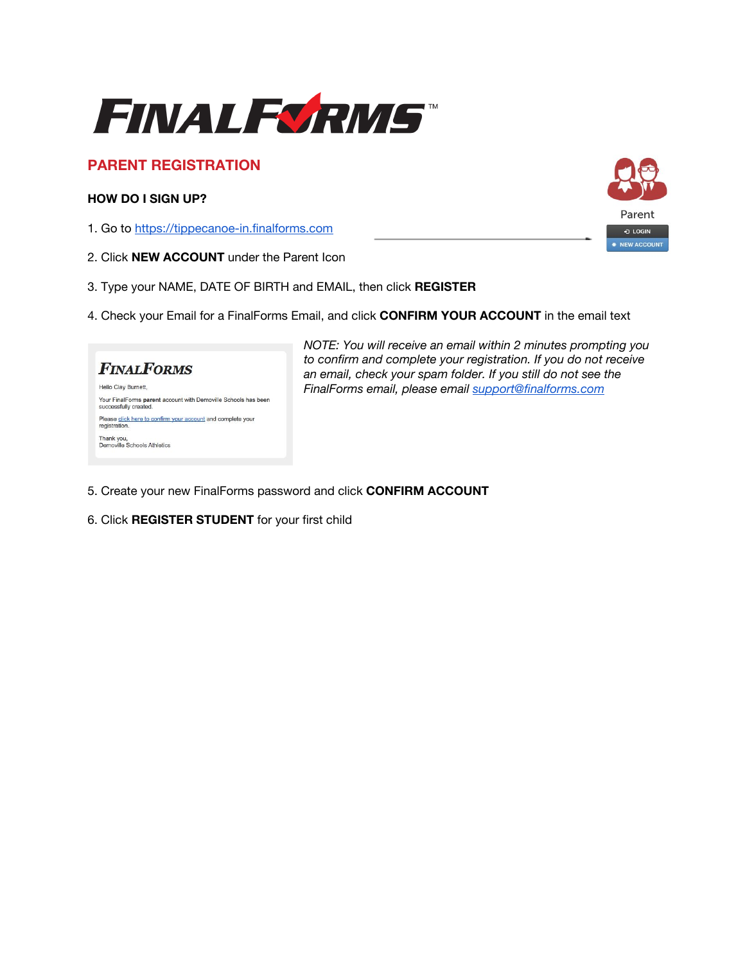

# **PARENT REGISTRATION**

### **HOW DO I SIGN UP?**

- 1. Go to [https://tippecanoe-in.finalforms.com](https://tippecanoe-in.finalforms.com/)
- 2. Click **NEW ACCOUNT** under the Parent Icon
- 3. Type your NAME, DATE OF BIRTH and EMAIL, then click **REGISTER**
- 4. Check your Email for a FinalForms Email, and click **CONFIRM YOUR ACCOUNT** in the email text



*NOTE: You will receive an email within 2 minutes prompting you to confirm and complete your registration. If you do not receive an email, check your spam folder. If you still do not see the FinalForms email, please email [support@finalforms.com](mailto:support@finalforms.com)*

- 5. Create your new FinalForms password and click **CONFIRM ACCOUNT**
- 6. Click **REGISTER STUDENT** for your first child